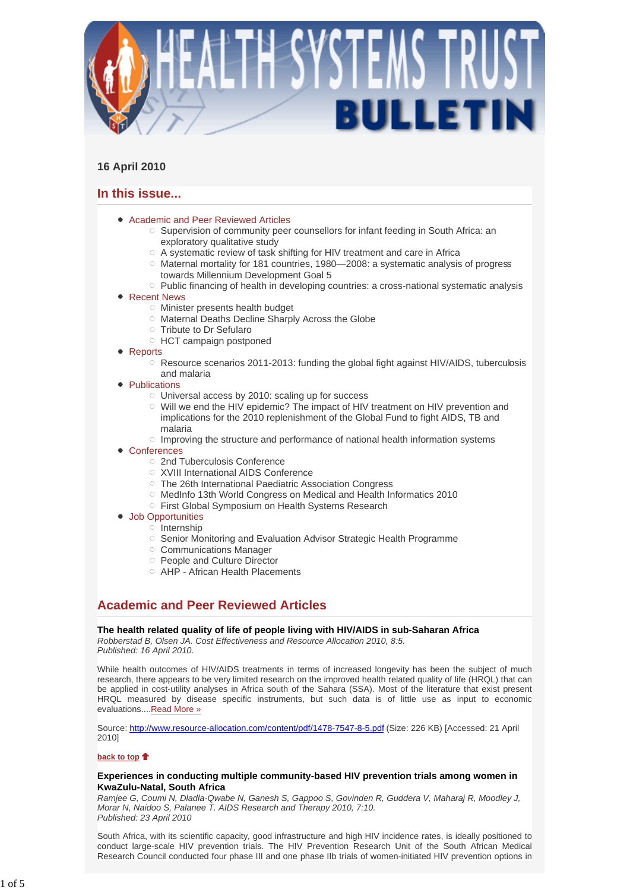

## **16 April 2010**

# **In this issue...**

- Academic and Peer Reviewed Articles
	- $\circ$  Supervision of community peer counsellors for infant feeding in South Africa: an exploratory qualitative study
	- A systematic review of task shifting for HIV treatment and care in Africa
	- $\circ$  Maternal mortality for 181 countries, 1980—2008: a systematic analysis of progress towards Millennium Development Goal 5
	- $\circ$  Public financing of health in developing countries: a cross-national systematic analysis
- Recent News
	- $\circ$  Minister presents health budget
	- o Maternal Deaths Decline Sharply Across the Globe
	- Tribute to Dr Sefularo
	- HCT campaign postponed
- Reports
	- $\circ$  Resource scenarios 2011-2013: funding the global fight against HIV/AIDS, tuberculosis and malaria
- Publications
	- $\circ$  Universal access by 2010: scaling up for success
	- $\circ$  Will we end the HIV epidemic? The impact of HIV treatment on HIV prevention and implications for the 2010 replenishment of the Global Fund to fight AIDS, TB and malaria
	- $\circ$  Improving the structure and performance of national health information systems
- Conferences
	- 2nd Tuberculosis Conference
	- XVIII International AIDS Conference
	- The 26th International Paediatric Association Congress
	- MedInfo 13th World Congress on Medical and Health Informatics 2010
	- o First Global Symposium on Health Systems Research
	- Job Opportunities
		- $\circ$  Internship
			- Senior Monitoring and Evaluation Advisor Strategic Health Programme
			- Communications Manager
			- People and Culture Director
			- AHP African Health Placements

# **Academic and Peer Reviewed Articles**

**The health related quality of life of people living with HIV/AIDS in sub-Saharan Africa**

*Robberstad B, Olsen JA. Cost Effectiveness and Resource Allocation 2010, 8:5. Published: 16 April 2010.*

While health outcomes of HIV/AIDS treatments in terms of increased longevity has been the subject of much research, there appears to be very limited research on the improved health related quality of life (HRQL) that can be applied in cost-utility analyses in Africa south of the Sahara (SSA). Most of the literature that exist present HRQL measured by disease specific instruments, but such data is of little use as input to economic evaluations....Read More »

Source: http://www.resource-allocation.com/content/pdf/1478-7547-8-5.pdf (Size: 226 KB) [Accessed: 21 April 2010]

**back to top**

## **Experiences in conducting multiple community-based HIV prevention trials among women in KwaZulu-Natal, South Africa**

*Ramjee G, Coumi N, Dladla-Qwabe N, Ganesh S, Gappoo S, Govinden R, Guddera V, Maharaj R, Moodley J, Morar N, Naidoo S, Palanee T. AIDS Research and Therapy 2010, 7:10. Published: 23 April 2010*

South Africa, with its scientific capacity, good infrastructure and high HIV incidence rates, is ideally positioned to conduct large-scale HIV prevention trials. The HIV Prevention Research Unit of the South African Medical Research Council conducted four phase III and one phase IIb trials of women-initiated HIV prevention options in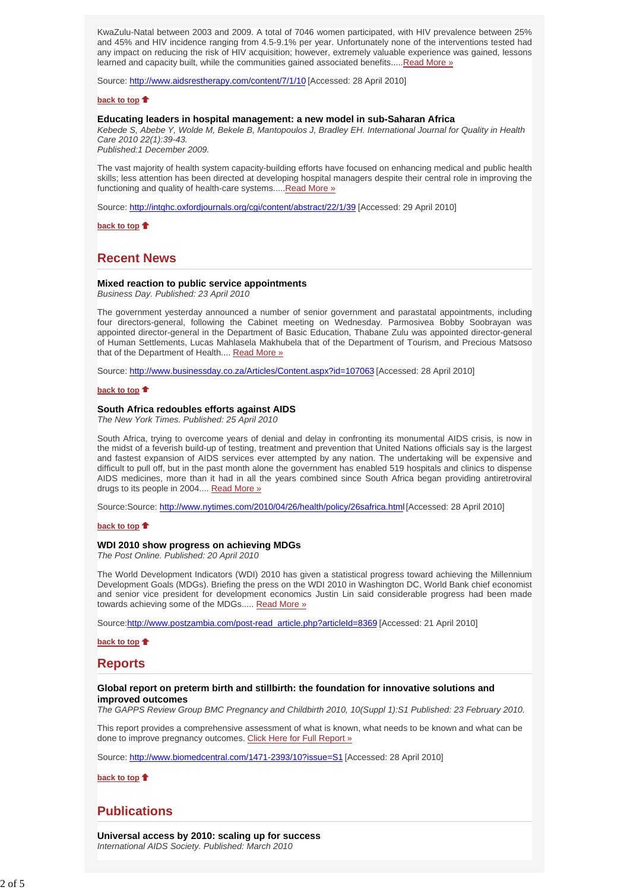KwaZulu-Natal between 2003 and 2009. A total of 7046 women participated, with HIV prevalence between 25% and 45% and HIV incidence ranging from 4.5-9.1% per year. Unfortunately none of the interventions tested had any impact on reducing the risk of HIV acquisition; however, extremely valuable experience was gained, lessons learned and capacity built, while the communities gained associated benefits.....Read More »

Source: http://www.aidsrestherapy.com/content/7/1/10 [Accessed: 28 April 2010]

#### **back to top**

## **Educating leaders in hospital management: a new model in sub-Saharan Africa**

*Kebede S, Abebe Y, Wolde M, Bekele B, Mantopoulos J, Bradley EH. International Journal for Quality in Health Care 2010 22(1):39-43.* 

*Published:1 December 2009.*

The vast majority of health system capacity-building efforts have focused on enhancing medical and public health skills; less attention has been directed at developing hospital managers despite their central role in improving the functioning and quality of health-care systems.....Read More »

Source: http://intqhc.oxfordjournals.org/cgi/content/abstract/22/1/39 [Accessed: 29 April 2010]

**back to top**

## **Recent News**

#### **Mixed reaction to public service appointments**

*Business Day. Published: 23 April 2010*

The government yesterday announced a number of senior government and parastatal appointments, including four directors-general, following the Cabinet meeting on Wednesday. Parmosivea Bobby Soobrayan was appointed director-general in the Department of Basic Education, Thabane Zulu was appointed director-general of Human Settlements, Lucas Mahlasela Makhubela that of the Department of Tourism, and Precious Matsoso that of the Department of Health.... Read More »

Source: http://www.businessday.co.za/Articles/Content.aspx?id=107063 [Accessed: 28 April 2010]

## **back to top**  $\triangle$

## **South Africa redoubles efforts against AIDS**

*The New York Times. Published: 25 April 2010*

South Africa, trying to overcome years of denial and delay in confronting its monumental AIDS crisis, is now in the midst of a feverish build-up of testing, treatment and prevention that United Nations officials say is the largest and fastest expansion of AIDS services ever attempted by any nation. The undertaking will be expensive and difficult to pull off, but in the past month alone the government has enabled 519 hospitals and clinics to dispense AIDS medicines, more than it had in all the years combined since South Africa began providing antiretroviral drugs to its people in 2004.... Read More »

Source:Source: http://www.nytimes.com/2010/04/26/health/policy/26safrica.html [Accessed: 28 April 2010]

#### **back to top**

#### **WDI 2010 show progress on achieving MDGs**

*The Post Online. Published: 20 April 2010*

The World Development Indicators (WDI) 2010 has given a statistical progress toward achieving the Millennium Development Goals (MDGs). Briefing the press on the WDI 2010 in Washington DC, World Bank chief economist and senior vice president for development economics Justin Lin said considerable progress had been made towards achieving some of the MDGs..... Read More »

Source:http://www.postzambia.com/post-read\_article.php?articleId=8369 [Accessed: 21 April 2010]

**back to top**

**Reports**

### **Global report on preterm birth and stillbirth: the foundation for innovative solutions and improved outcomes**

*The GAPPS Review Group BMC Pregnancy and Childbirth 2010, 10(Suppl 1):S1 Published: 23 February 2010.* 

This report provides a comprehensive assessment of what is known, what needs to be known and what can be done to improve pregnancy outcomes. Click Here for Full Report »

Source: http://www.biomedcentral.com/1471-2393/10?issue=S1 [Accessed: 28 April 2010]

**back to top**

# **Publications**

**Universal access by 2010: scaling up for success** *International AIDS Society. Published: March 2010*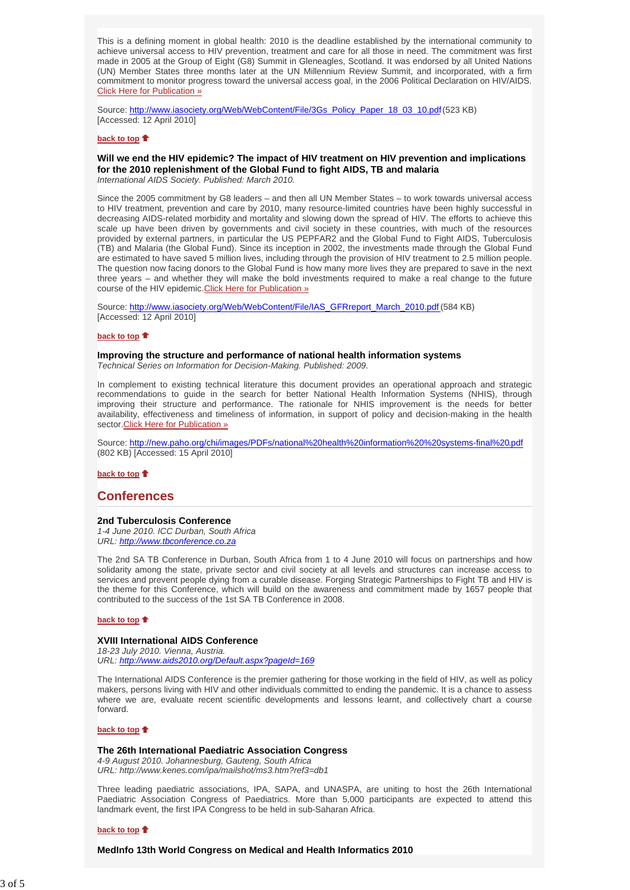This is a defining moment in global health: 2010 is the deadline established by the international community to achieve universal access to HIV prevention, treatment and care for all those in need. The commitment was first made in 2005 at the Group of Eight (G8) Summit in Gleneagles, Scotland. It was endorsed by all United Nations (UN) Member States three months later at the UN Millennium Review Summit, and incorporated, with a firm commitment to monitor progress toward the universal access goal, in the 2006 Political Declaration on HIV/AIDS. Click Here for Publication »

Source: http://www.iasociety.org/Web/WebContent/File/3Gs\_Policy\_Paper\_18\_03\_10.pdf (523 KB) [Accessed: 12 April 2010]

### **back to top**

# **Will we end the HIV epidemic? The impact of HIV treatment on HIV prevention and implications for the 2010 replenishment of the Global Fund to fight AIDS, TB and malaria**

*International AIDS Society. Published: March 2010.*

Since the 2005 commitment by G8 leaders – and then all UN Member States – to work towards universal access to HIV treatment, prevention and care by 2010, many resource-limited countries have been highly successful in decreasing AIDS-related morbidity and mortality and slowing down the spread of HIV. The efforts to achieve this scale up have been driven by governments and civil society in these countries, with much of the resources provided by external partners, in particular the US PEPFAR2 and the Global Fund to Fight AIDS, Tuberculosis (TB) and Malaria (the Global Fund). Since its inception in 2002, the investments made through the Global Fund are estimated to have saved 5 million lives, including through the provision of HIV treatment to 2.5 million people. The question now facing donors to the Global Fund is how many more lives they are prepared to save in the next three years – and whether they will make the bold investments required to make a real change to the future course of the HIV epidemic.Click Here for Publication »

Source: http://www.iasociety.org/Web/WebContent/File/IAS\_GFRreport\_March\_2010.pdf (584 KB) [Accessed: 12 April 2010]

### **back to top**

#### **Improving the structure and performance of national health information systems** *Technical Series on Information for Decision-Making. Published: 2009.*

In complement to existing technical literature this document provides an operational approach and strategic recommendations to guide in the search for better National Health Information Systems (NHIS), through improving their structure and performance. The rationale for NHIS improvement is the needs for better availability, effectiveness and timeliness of information, in support of policy and decision-making in the health sector.Click Here for Publication »

Source: http://new.paho.org/chi/images/PDFs/national%20health%20information%20%20systems-final%20.pdf (802 KB) [Accessed: 15 April 2010]

#### **back to top**

## **Conferences**

#### **2nd Tuberculosis Conference**

*1-4 June 2010. ICC Durban, South Africa URL: http://www.tbconference.co.za*

The 2nd SA TB Conference in Durban, South Africa from 1 to 4 June 2010 will focus on partnerships and how solidarity among the state, private sector and civil society at all levels and structures can increase access to services and prevent people dying from a curable disease. Forging Strategic Partnerships to Fight TB and HIV is the theme for this Conference, which will build on the awareness and commitment made by 1657 people that contributed to the success of the 1st SA TB Conference in 2008.

#### **back to top**

## **XVIII International AIDS Conference**

*18-23 July 2010. Vienna, Austria. URL: http://www.aids2010.org/Default.aspx?pageId=169*

The International AIDS Conference is the premier gathering for those working in the field of HIV, as well as policy makers, persons living with HIV and other individuals committed to ending the pandemic. It is a chance to assess where we are, evaluate recent scientific developments and lessons learnt, and collectively chart a course forward.

### **back to top**

#### **The 26th International Paediatric Association Congress**

*4-9 August 2010. Johannesburg, Gauteng, South Africa URL: http://www.kenes.com/ipa/mailshot/ms3.htm?ref3=db1*

Three leading paediatric associations, IPA, SAPA, and UNASPA, are uniting to host the 26th International Paediatric Association Congress of Paediatrics. More than 5,000 participants are expected to attend this landmark event, the first IPA Congress to be held in sub-Saharan Africa.

### **back to top**

**MedInfo 13th World Congress on Medical and Health Informatics 2010**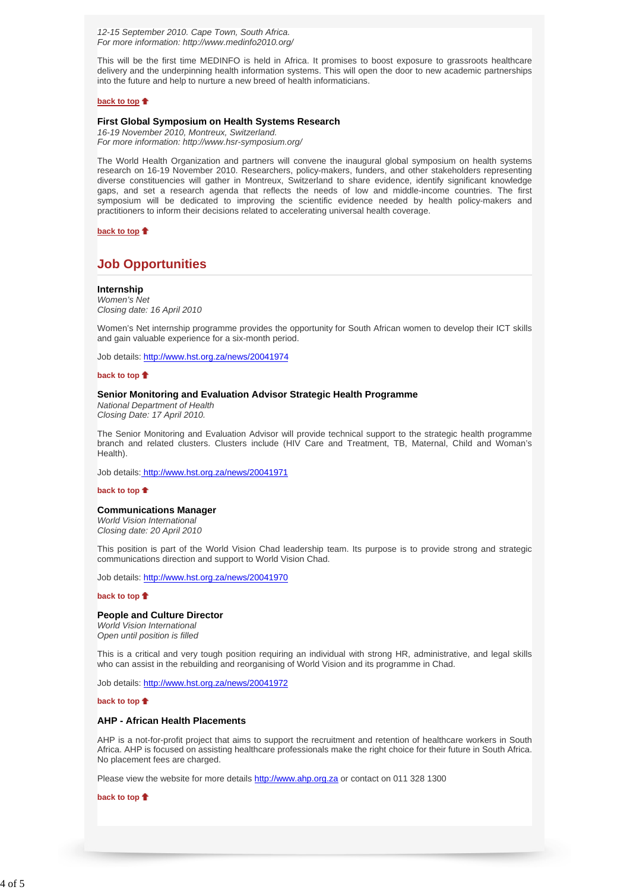*12-15 September 2010. Cape Town, South Africa. For more information: http://www.medinfo2010.org/*

This will be the first time MEDINFO is held in Africa. It promises to boost exposure to grassroots healthcare delivery and the underpinning health information systems. This will open the door to new academic partnerships into the future and help to nurture a new breed of health informaticians.

#### **back to top**

## **First Global Symposium on Health Systems Research**

*16-19 November 2010, Montreux, Switzerland. For more information: http://www.hsr-symposium.org/*

The World Health Organization and partners will convene the inaugural global symposium on health systems research on 16-19 November 2010. Researchers, policy-makers, funders, and other stakeholders representing diverse constituencies will gather in Montreux, Switzerland to share evidence, identify significant knowledge gaps, and set a research agenda that reflects the needs of low and middle-income countries. The first symposium will be dedicated to improving the scientific evidence needed by health policy-makers and practitioners to inform their decisions related to accelerating universal health coverage.

## **back to top**

# **Job Opportunities**

**Internship** *Women's Net Closing date: 16 April 2010*

Women's Net internship programme provides the opportunity for South African women to develop their ICT skills and gain valuable experience for a six-month period.

Job details: http://www.hst.org.za/news/20041974

#### **back to top**

### **Senior Monitoring and Evaluation Advisor Strategic Health Programme**

*National Department of Health Closing Date: 17 April 2010.*

The Senior Monitoring and Evaluation Advisor will provide technical support to the strategic health programme branch and related clusters. Clusters include (HIV Care and Treatment, TB, Maternal, Child and Woman's Health).

Job details: http://www.hst.org.za/news/20041971

#### **back to top**

#### **Communications Manager**

*World Vision International Closing date: 20 April 2010*

This position is part of the World Vision Chad leadership team. Its purpose is to provide strong and strategic communications direction and support to World Vision Chad.

Job details: http://www.hst.org.za/news/20041970

#### **back to top**

#### **People and Culture Director**

*World Vision International Open until position is filled*

This is a critical and very tough position requiring an individual with strong HR, administrative, and legal skills who can assist in the rebuilding and reorganising of World Vision and its programme in Chad.

Job details: http://www.hst.org.za/news/20041972

#### **back to top**

## **AHP - African Health Placements**

AHP is a not-for-profit project that aims to support the recruitment and retention of healthcare workers in South Africa. AHP is focused on assisting healthcare professionals make the right choice for their future in South Africa. No placement fees are charged.

Please view the website for more details http://www.ahp.org.za or contact on 011 328 1300

**back to top**